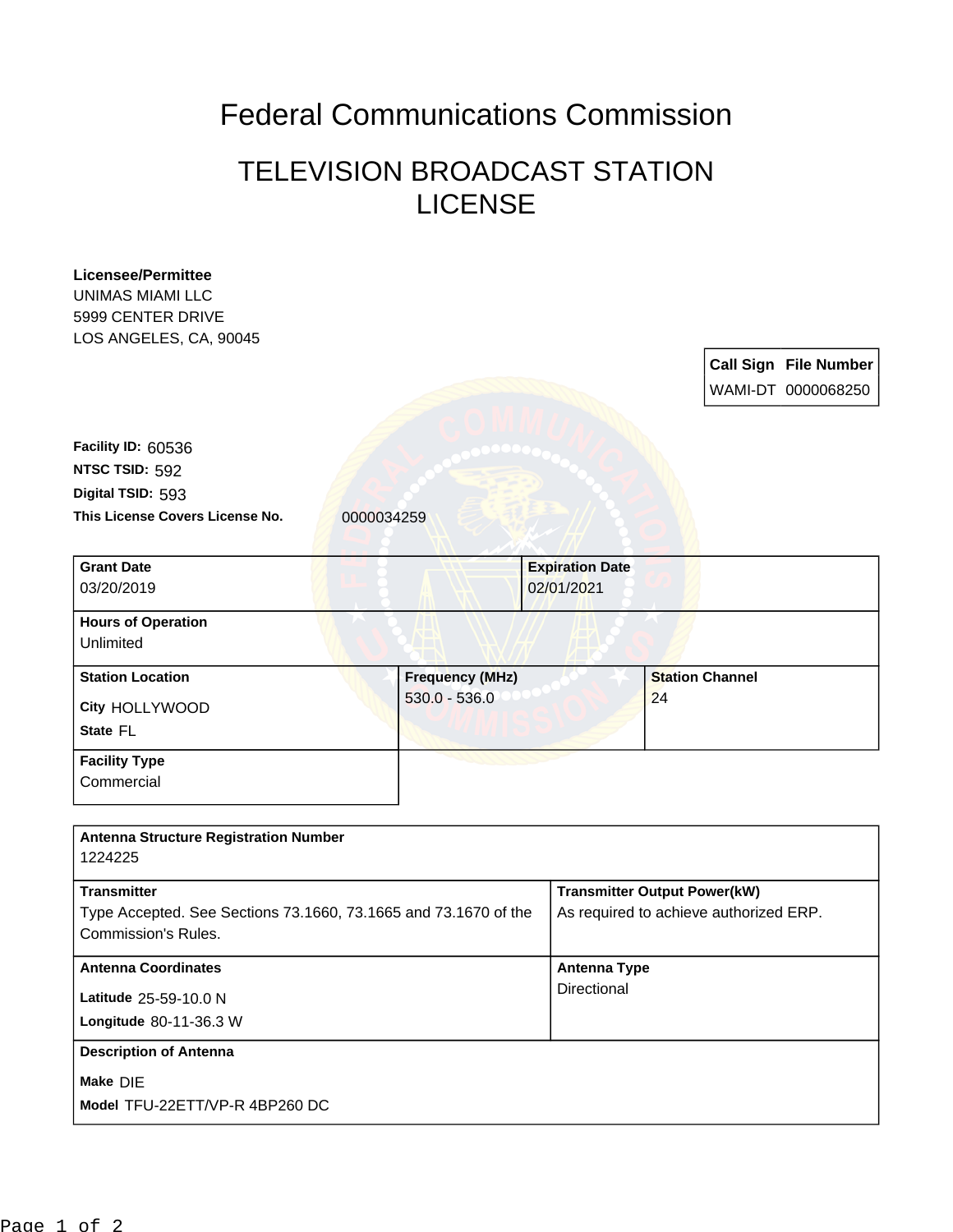## Federal Communications Commission

## TELEVISION BROADCAST STATION LICENSE

| <b>Licensee/Permittee</b>                                       |                        |  |                                        |                        |  |                              |
|-----------------------------------------------------------------|------------------------|--|----------------------------------------|------------------------|--|------------------------------|
| <b>UNIMAS MIAMI LLC</b>                                         |                        |  |                                        |                        |  |                              |
| 5999 CENTER DRIVE                                               |                        |  |                                        |                        |  |                              |
| LOS ANGELES, CA, 90045                                          |                        |  |                                        |                        |  |                              |
|                                                                 |                        |  |                                        |                        |  | <b>Call Sign File Number</b> |
|                                                                 |                        |  |                                        |                        |  | WAMI-DT 0000068250           |
|                                                                 |                        |  |                                        |                        |  |                              |
| Facility ID: 60536                                              |                        |  |                                        |                        |  |                              |
| NTSC TSID: 592                                                  |                        |  |                                        |                        |  |                              |
| Digital TSID: 593                                               |                        |  |                                        |                        |  |                              |
| This License Covers License No.                                 | 0000034259             |  |                                        |                        |  |                              |
|                                                                 |                        |  |                                        |                        |  |                              |
| <b>Grant Date</b><br>03/20/2019                                 |                        |  | <b>Expiration Date</b><br>02/01/2021   |                        |  |                              |
| <b>Hours of Operation</b>                                       |                        |  |                                        |                        |  |                              |
| Unlimited                                                       |                        |  |                                        |                        |  |                              |
|                                                                 |                        |  |                                        |                        |  |                              |
| <b>Station Location</b>                                         | <b>Frequency (MHz)</b> |  |                                        | <b>Station Channel</b> |  |                              |
| City HOLLYWOOD                                                  | $530.0 - 536.0$        |  |                                        | 24                     |  |                              |
| State FL                                                        |                        |  |                                        |                        |  |                              |
| <b>Facility Type</b>                                            |                        |  |                                        |                        |  |                              |
| Commercial                                                      |                        |  |                                        |                        |  |                              |
|                                                                 |                        |  |                                        |                        |  |                              |
| <b>Antenna Structure Registration Number</b>                    |                        |  |                                        |                        |  |                              |
| 1224225                                                         |                        |  |                                        |                        |  |                              |
| <b>Transmitter</b>                                              |                        |  | <b>Transmitter Output Power(kW)</b>    |                        |  |                              |
| Type Accepted. See Sections 73.1660, 73.1665 and 73.1670 of the |                        |  | As required to achieve authorized ERP. |                        |  |                              |
| <b>Commission's Rules.</b>                                      |                        |  |                                        |                        |  |                              |
| <b>Antenna Coordinates</b>                                      |                        |  | <b>Antenna Type</b>                    |                        |  |                              |
| Latitude 25-59-10.0 N                                           |                        |  | Directional                            |                        |  |                              |
| Longitude 80-11-36.3 W                                          |                        |  |                                        |                        |  |                              |
| <b>Description of Antenna</b>                                   |                        |  |                                        |                        |  |                              |
| Make DIE                                                        |                        |  |                                        |                        |  |                              |
| Model TFU-22ETT/VP-R 4BP260 DC                                  |                        |  |                                        |                        |  |                              |
|                                                                 |                        |  |                                        |                        |  |                              |